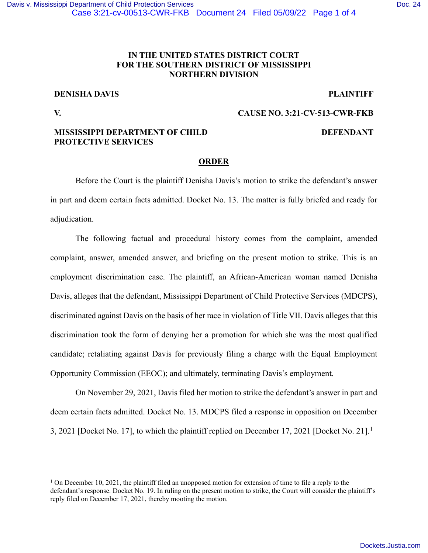# **IN THE UNITED STATES DISTRICT COURT FOR THE SOUTHERN DISTRICT OF MISSISSIPPI NORTHERN DIVISION**

# **DENISHA DAVIS PLAINTIFF**

# **V. CAUSE NO. 3:21-CV-513-CWR-FKB**

## **MISSISSIPPI DEPARTMENT OF CHILD PROTECTIVE SERVICES**

### **DEFENDANT**

## **ORDER**

Before the Court is the plaintiff Denisha Davis's motion to strike the defendant's answer in part and deem certain facts admitted. Docket No. 13. The matter is fully briefed and ready for adjudication.

The following factual and procedural history comes from the complaint, amended complaint, answer, amended answer, and briefing on the present motion to strike. This is an employment discrimination case. The plaintiff, an African-American woman named Denisha Davis, alleges that the defendant, Mississippi Department of Child Protective Services (MDCPS), discriminated against Davis on the basis of her race in violation of Title VII. Davis alleges that this discrimination took the form of denying her a promotion for which she was the most qualified candidate; retaliating against Davis for previously filing a charge with the Equal Employment Opportunity Commission (EEOC); and ultimately, terminating Davis's employment.

On November 29, 2021, Davis filed her motion to strike the defendant's answer in part and deem certain facts admitted. Docket No. 13. MDCPS filed a response in opposition on December 3, 2021 [Docket No. 17], to which the plaintiff replied on December 17, 2021 [Docket No. 21].<sup>1</sup>

<sup>&</sup>lt;sup>1</sup> On December 10, 2021, the plaintiff filed an unopposed motion for extension of time to file a reply to the defendant's response. Docket No. 19. In ruling on the present motion to strike, the Court will consider the plaintiff's reply filed on December 17, 2021, thereby mooting the motion.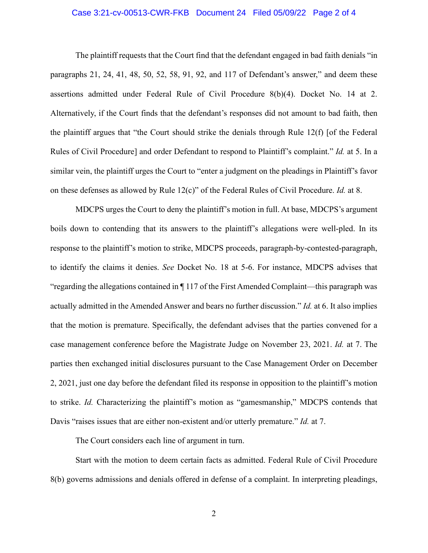## Case 3:21-cv-00513-CWR-FKB Document 24 Filed 05/09/22 Page 2 of 4

The plaintiff requests that the Court find that the defendant engaged in bad faith denials "in paragraphs 21, 24, 41, 48, 50, 52, 58, 91, 92, and 117 of Defendant's answer," and deem these assertions admitted under Federal Rule of Civil Procedure 8(b)(4). Docket No. 14 at 2. Alternatively, if the Court finds that the defendant's responses did not amount to bad faith, then the plaintiff argues that "the Court should strike the denials through Rule  $12(f)$  [of the Federal Rules of Civil Procedure] and order Defendant to respond to Plaintiff's complaint." *Id.* at 5. In a similar vein, the plaintiff urges the Court to "enter a judgment on the pleadings in Plaintiff's favor on these defenses as allowed by Rule 12(c)" of the Federal Rules of Civil Procedure. *Id.* at 8.

MDCPS urges the Court to deny the plaintiff's motion in full. At base, MDCPS's argument boils down to contending that its answers to the plaintiff's allegations were well-pled. In its response to the plaintiff's motion to strike, MDCPS proceeds, paragraph-by-contested-paragraph, to identify the claims it denies. *See* Docket No. 18 at 5-6. For instance, MDCPS advises that "regarding the allegations contained in ¶ 117 of the First Amended Complaint—this paragraph was actually admitted in the Amended Answer and bears no further discussion." *Id.* at 6. It also implies that the motion is premature. Specifically, the defendant advises that the parties convened for a case management conference before the Magistrate Judge on November 23, 2021. *Id.* at 7. The parties then exchanged initial disclosures pursuant to the Case Management Order on December 2, 2021, just one day before the defendant filed its response in opposition to the plaintiff's motion to strike. *Id.* Characterizing the plaintiff's motion as "gamesmanship," MDCPS contends that Davis "raises issues that are either non-existent and/or utterly premature." *Id.* at 7.

The Court considers each line of argument in turn.

Start with the motion to deem certain facts as admitted. Federal Rule of Civil Procedure 8(b) governs admissions and denials offered in defense of a complaint. In interpreting pleadings,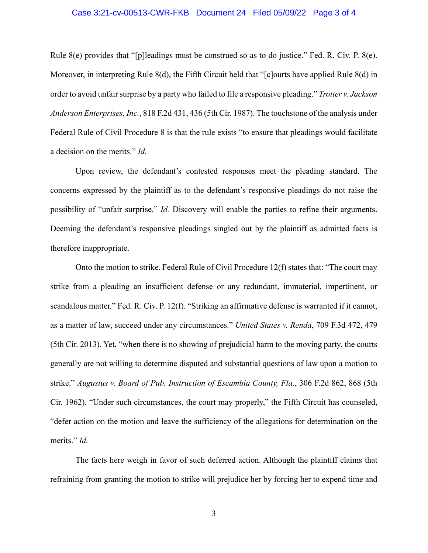## Case 3:21-cv-00513-CWR-FKB Document 24 Filed 05/09/22 Page 3 of 4

Rule  $8(e)$  provides that "[p]leadings must be construed so as to do justice." Fed. R. Civ. P.  $8(e)$ . Moreover, in interpreting Rule 8(d), the Fifth Circuit held that "[c]ourts have applied Rule 8(d) in order to avoid unfair surprise by a party who failed to file a responsive pleading." *Trotter v. Jackson Anderson Enterprises, Inc.*, 818 F.2d 431, 436 (5th Cir. 1987). The touchstone of the analysis under Federal Rule of Civil Procedure 8 is that the rule exists "to ensure that pleadings would facilitate a decision on the merits." *Id.* 

Upon review, the defendant's contested responses meet the pleading standard. The concerns expressed by the plaintiff as to the defendant's responsive pleadings do not raise the possibility of "unfair surprise." *Id.* Discovery will enable the parties to refine their arguments. Deeming the defendant's responsive pleadings singled out by the plaintiff as admitted facts is therefore inappropriate.

Onto the motion to strike. Federal Rule of Civil Procedure 12(f) states that: "The court may strike from a pleading an insufficient defense or any redundant, immaterial, impertinent, or scandalous matter." Fed. R. Civ. P. 12(f). "Striking an affirmative defense is warranted if it cannot, as a matter of law, succeed under any circumstances." *United States v. Renda*, 709 F.3d 472, 479 (5th Cir. 2013). Yet, "when there is no showing of prejudicial harm to the moving party, the courts generally are not willing to determine disputed and substantial questions of law upon a motion to strike." *Augustus v. Board of Pub. Instruction of Escambia County, Fla.*, 306 F.2d 862, 868 (5th Cir. 1962). "Under such circumstances, the court may properly," the Fifth Circuit has counseled, "defer action on the motion and leave the sufficiency of the allegations for determination on the merits." *Id.*

The facts here weigh in favor of such deferred action. Although the plaintiff claims that refraining from granting the motion to strike will prejudice her by forcing her to expend time and